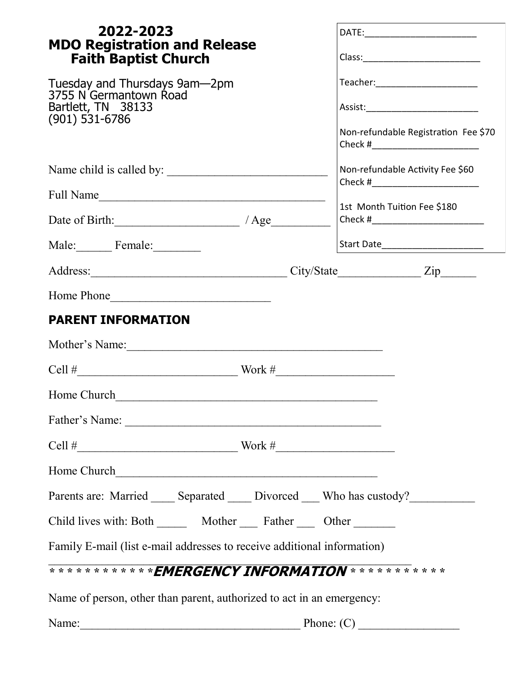| 2022-2023<br><b>MDO Registration and Release</b><br><b>Faith Baptist Church</b>                   |                                                                         |  |
|---------------------------------------------------------------------------------------------------|-------------------------------------------------------------------------|--|
| Tuesday and Thursdays 9am-2pm<br>3755 N'Germantown Road<br>Bartlett, TN 38133<br>$(901)$ 531-6786 | Teacher:_________________________                                       |  |
|                                                                                                   | Non-refundable Registration Fee \$70<br>Check #________________________ |  |
|                                                                                                   | Non-refundable Activity Fee \$60<br>Check #________________________     |  |
| Full Name                                                                                         |                                                                         |  |
|                                                                                                   | 1st Month Tuition Fee \$180<br>Check #_____________________________     |  |
| Male: Female:                                                                                     | Start Date_______________________                                       |  |
|                                                                                                   |                                                                         |  |
| Home Phone                                                                                        |                                                                         |  |
| <b>PARENT INFORMATION</b>                                                                         |                                                                         |  |
|                                                                                                   |                                                                         |  |
| Cell $\#$ Work $\#$                                                                               |                                                                         |  |
| Home Church                                                                                       |                                                                         |  |
|                                                                                                   |                                                                         |  |
| Cell $\#$ Work $\#$                                                                               |                                                                         |  |
| Home Church                                                                                       |                                                                         |  |
| Parents are: Married ______ Separated ______ Divorced _____ Who has custody?____________          |                                                                         |  |
| Child lives with: Both ________ Mother ______ Father ______ Other _______                         |                                                                         |  |
| Family E-mail (list e-mail addresses to receive additional information)                           |                                                                         |  |
| ************ <b>*<i>EMERGENCY INFORMATION</i></b> ***********                                     |                                                                         |  |
| Name of person, other than parent, authorized to act in an emergency:                             |                                                                         |  |
| Name: $\qquad \qquad$ Phone: (C) $\qquad \qquad$                                                  |                                                                         |  |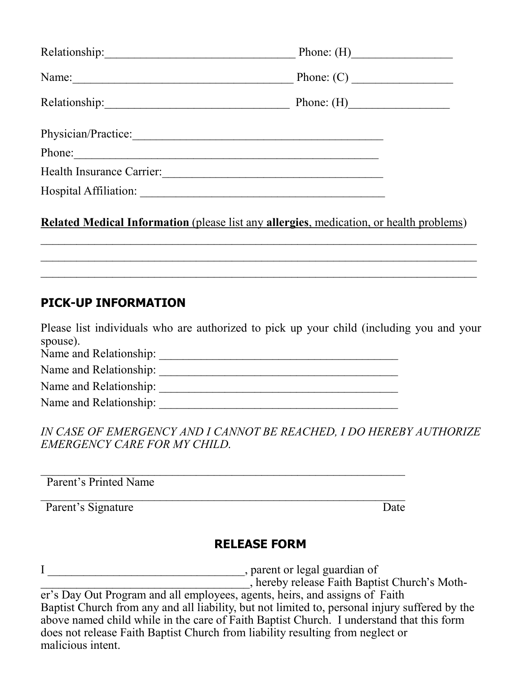| Relationship:                                                                                                                 | Phone: $(H)$ |
|-------------------------------------------------------------------------------------------------------------------------------|--------------|
| Name:<br><u> 2000 - 2000 - 2000 - 2000 - 2000 - 2000 - 2000 - 2000 - 2000 - 2000 - 2000 - 2000 - 2000 - 2000 - 2000 - 200</u> | Phone: $(C)$ |
|                                                                                                                               | Phone: $(H)$ |
| Physician/Practice:                                                                                                           |              |
| Phone:                                                                                                                        |              |
| Health Insurance Carrier:                                                                                                     |              |
| Hospital Affiliation:                                                                                                         |              |

#### **Related Medical Information** (please list any **allergies**, medication, or health problems)

 $\mathcal{L}_\text{max} = \mathcal{L}_\text{max} = \mathcal{L}_\text{max} = \mathcal{L}_\text{max} = \mathcal{L}_\text{max} = \mathcal{L}_\text{max} = \mathcal{L}_\text{max} = \mathcal{L}_\text{max} = \mathcal{L}_\text{max} = \mathcal{L}_\text{max} = \mathcal{L}_\text{max} = \mathcal{L}_\text{max} = \mathcal{L}_\text{max} = \mathcal{L}_\text{max} = \mathcal{L}_\text{max} = \mathcal{L}_\text{max} = \mathcal{L}_\text{max} = \mathcal{L}_\text{max} = \mathcal{$ 

### **PICK-UP INFORMATION**

Please list individuals who are authorized to pick up your child (including you and your spouse).

Name and Relationship: \_\_\_\_\_\_\_\_\_\_\_\_\_\_\_\_\_\_\_\_\_\_\_\_\_\_\_\_\_\_\_\_\_\_\_\_\_\_\_\_

Name and Relationship: \_\_\_\_\_\_\_\_\_\_\_\_\_\_\_\_\_\_\_\_\_\_\_\_\_\_\_\_\_\_\_\_\_\_\_\_\_\_\_\_

Name and Relationship: \_\_\_\_\_\_\_\_\_\_\_\_\_\_\_\_\_\_\_\_\_\_\_\_\_\_\_\_\_\_\_\_\_\_\_\_\_\_\_\_

Name and Relationship: \_\_\_\_\_\_\_\_\_\_\_\_\_\_\_\_\_\_\_\_\_\_\_\_\_\_\_\_\_\_\_\_\_\_\_\_\_\_\_\_

*IN CASE OF EMERGENCY AND I CANNOT BE REACHED, I DO HEREBY AUTHORIZE EMERGENCY CARE FOR MY CHILD*.

Parent's Printed Name

Parent's Signature Date

## **RELEASE FORM**

 $\_$  , and the set of the set of the set of the set of the set of the set of the set of the set of the set of the set of the set of the set of the set of the set of the set of the set of the set of the set of the set of th

I \_\_\_\_\_\_\_\_\_\_\_\_\_\_\_\_\_\_\_\_\_\_\_\_\_\_\_\_\_\_\_\_\_, parent or legal guardian of

**Example 2.1 The Series Faith Baptist Church's Moth-**

er's Day Out Program and all employees, agents, heirs, and assigns of Faith Baptist Church from any and all liability, but not limited to, personal injury suffered by the above named child while in the care of Faith Baptist Church. I understand that this form does not release Faith Baptist Church from liability resulting from neglect or malicious intent.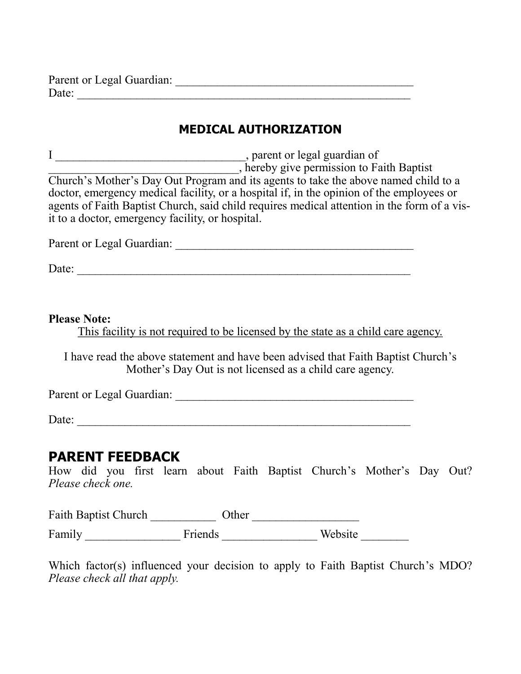| Parent or Legal Guardian: |  |
|---------------------------|--|
| Date:                     |  |

## **MEDICAL AUTHORIZATION**

I \_\_\_\_\_\_\_\_\_\_\_\_\_\_\_\_\_\_\_\_\_\_\_\_\_\_\_\_\_\_\_\_\_\_, parent or legal guardian of \_\_\_\_\_\_\_\_\_\_\_\_\_\_\_\_\_\_\_\_\_\_\_\_\_\_\_\_\_\_\_\_, hereby give permission to Faith Baptist Church's Mother's Day Out Program and its agents to take the above named child to a doctor, emergency medical facility, or a hospital if, in the opinion of the employees or agents of Faith Baptist Church, said child requires medical attention in the form of a visit to a doctor, emergency facility, or hospital.

Parent or Legal Guardian: \_\_\_\_\_\_\_\_\_\_\_\_\_\_\_\_\_\_\_\_\_\_\_\_\_\_\_\_\_\_\_\_\_\_\_\_\_\_\_\_

Date: \_\_\_\_\_\_\_\_\_\_\_\_\_\_\_\_\_\_\_\_\_\_\_\_\_\_\_\_\_\_\_\_\_\_\_\_\_\_\_\_\_\_\_\_\_\_\_\_\_\_\_\_\_\_\_\_

#### **Please Note:**

This facility is not required to be licensed by the state as a child care agency.

I have read the above statement and have been advised that Faith Baptist Church's Mother's Day Out is not licensed as a child care agency.

Parent or Legal Guardian: \_\_\_\_\_\_\_\_\_\_\_\_\_\_\_\_\_\_\_\_\_\_\_\_\_\_\_\_\_\_\_\_\_\_\_\_\_\_\_\_

Date:

# **PARENT FEEDBACK**

How did you first learn about Faith Baptist Church's Mother's Day Out? *Please check one.*

Faith Baptist Church Church Other Cher Changes Of Cher Chern Chern Chern Chern Chern Chern Chern Chern Chern Chern Chern Chern Chern Chern Chern Chern Chern Chern Chern Chern Chern Chern Chern Chern Chern Chern Chern Chern Family \_\_\_\_\_\_\_\_\_\_\_\_\_\_\_\_ Friends \_\_\_\_\_\_\_\_\_\_\_\_\_\_\_\_ Website \_\_\_\_\_\_\_\_

Which factor(s) influenced your decision to apply to Faith Baptist Church's MDO? *Please check all that apply.*